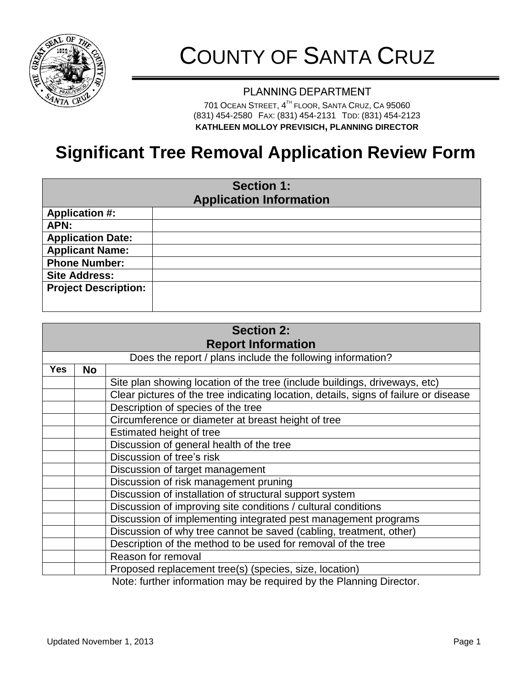

# COUNTY OF SANTA CRUZ

#### PLANNING DEPARTMENT

701 OCEAN STREET, 4<sup>th</sup> FLOOR, SANTA CRUZ, CA 95060 (831) 454-2580 FAX: (831) 454-2131 TDD: (831) 454-2123 **KATHLEEN MOLLOY PREVISICH, LANNING DIRECTOR**

## **Significant Tree Removal Application Review Form**

| <b>Section 1:</b><br><b>Application Information</b> |  |  |  |  |
|-----------------------------------------------------|--|--|--|--|
| <b>Application #:</b>                               |  |  |  |  |
| APN:                                                |  |  |  |  |
| <b>Application Date:</b>                            |  |  |  |  |
| <b>Applicant Name:</b>                              |  |  |  |  |
| <b>Phone Number:</b>                                |  |  |  |  |
| <b>Site Address:</b>                                |  |  |  |  |
| <b>Project Description:</b>                         |  |  |  |  |
|                                                     |  |  |  |  |

| <b>Section 2:</b>         |                                                                |                                                                                      |  |  |
|---------------------------|----------------------------------------------------------------|--------------------------------------------------------------------------------------|--|--|
| <b>Report Information</b> |                                                                |                                                                                      |  |  |
|                           | Does the report / plans include the following information?     |                                                                                      |  |  |
| <b>Yes</b>                | <b>No</b>                                                      |                                                                                      |  |  |
|                           |                                                                | Site plan showing location of the tree (include buildings, driveways, etc)           |  |  |
|                           |                                                                | Clear pictures of the tree indicating location, details, signs of failure or disease |  |  |
|                           |                                                                | Description of species of the tree                                                   |  |  |
|                           |                                                                | Circumference or diameter at breast height of tree                                   |  |  |
|                           |                                                                | Estimated height of tree                                                             |  |  |
|                           |                                                                | Discussion of general health of the tree                                             |  |  |
|                           |                                                                | Discussion of tree's risk                                                            |  |  |
|                           |                                                                | Discussion of target management                                                      |  |  |
|                           | Discussion of risk management pruning                          |                                                                                      |  |  |
|                           |                                                                | Discussion of installation of structural support system                              |  |  |
|                           |                                                                | Discussion of improving site conditions / cultural conditions                        |  |  |
|                           | Discussion of implementing integrated pest management programs |                                                                                      |  |  |
|                           |                                                                | Discussion of why tree cannot be saved (cabling, treatment, other)                   |  |  |
|                           |                                                                | Description of the method to be used for removal of the tree                         |  |  |
|                           |                                                                | Reason for removal                                                                   |  |  |
|                           |                                                                | Proposed replacement tree(s) (species, size, location)                               |  |  |
|                           |                                                                | Note: further information may be required by the Planning Director.                  |  |  |